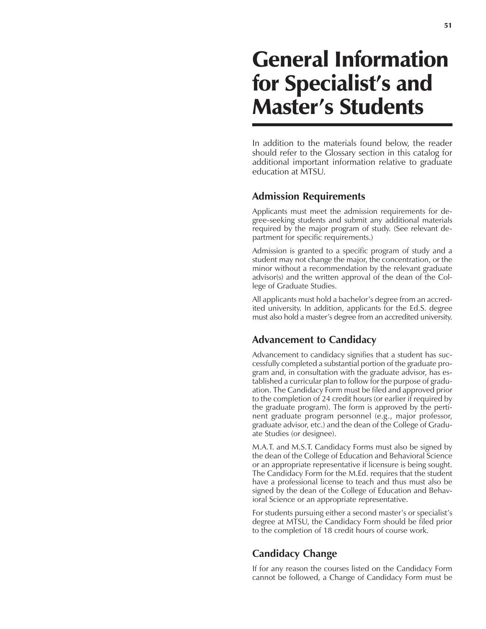# General Information for Specialist's and Master's Students

In addition to the materials found below, the reader should refer to the Glossary section in this catalog for additional important information relative to graduate education at MTSU.

### **Admission Requirements**

Applicants must meet the admission requirements for degree-seeking students and submit any additional materials required by the major program of study. (See relevant department for specific requirements.)

Admission is granted to a specific program of study and a student may not change the major, the concentration, or the minor without a recommendation by the relevant graduate advisor(s) and the written approval of the dean of the College of Graduate Studies.

All applicants must hold a bachelor's degree from an accredited university. In addition, applicants for the Ed.S. degree must also hold a master's degree from an accredited university.

## **Advancement to Candidacy**

Advancement to candidacy signifies that a student has successfully completed a substantial portion of the graduate program and, in consultation with the graduate advisor, has established a curricular plan to follow for the purpose of graduation. The Candidacy Form must be filed and approved prior to the completion of 24 credit hours (or earlier if required by the graduate program). The form is approved by the pertinent graduate program personnel (e.g., major professor, graduate advisor, etc.) and the dean of the College of Graduate Studies (or designee).

M.A.T. and M.S.T. Candidacy Forms must also be signed by the dean of the College of Education and Behavioral Science or an appropriate representative if licensure is being sought. The Candidacy Form for the M.Ed. requires that the student have a professional license to teach and thus must also be signed by the dean of the College of Education and Behavioral Science or an appropriate representative.

For students pursuing either a second master's or specialist's degree at MTSU, the Candidacy Form should be filed prior to the completion of 18 credit hours of course work.

## **Candidacy Change**

If for any reason the courses listed on the Candidacy Form cannot be followed, a Change of Candidacy Form must be